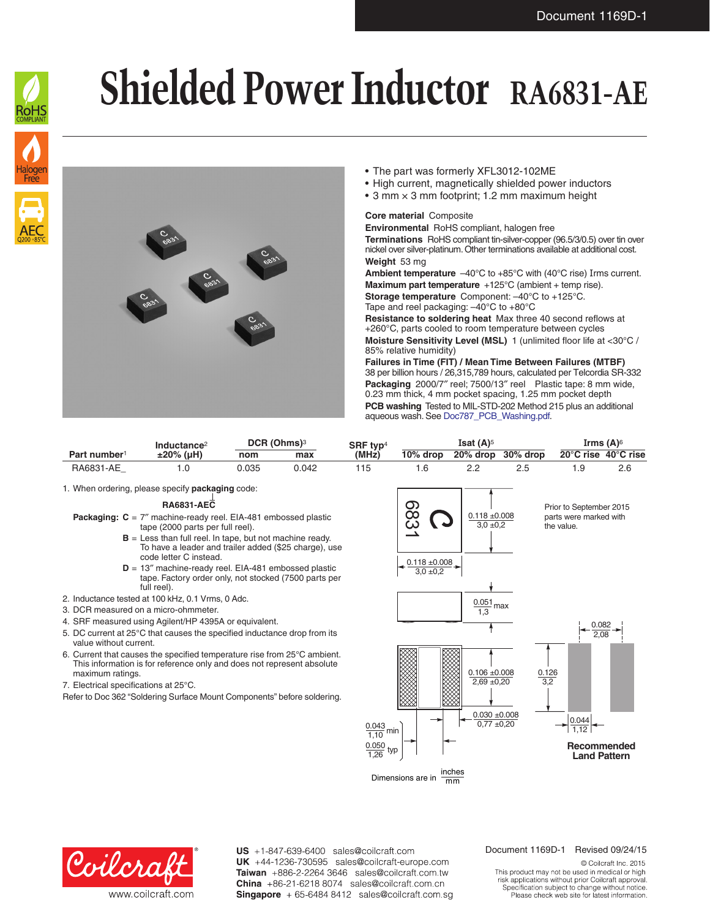

## **Shielded Power Inductor RA6831-AE**



- The part was formerly XFL3012-102ME
- High current, magnetically shielded power inductors
- 3 mm  $\times$  3 mm footprint; 1.2 mm maximum height

## **Core material** Composite

**Environmental** RoHS compliant, halogen free **Terminations** RoHS compliant tin-silver-copper (96.5/3/0.5) over tin over nickel over silver-platinum. Other terminations available at additional cost. **Weight** 53 mg

**Ambient temperature** –40°C to +85°C with (40°C rise) Irms current. **Maximum part temperature** +125°C (ambient + temp rise).

**Storage temperature** Component: –40°C to +125°C. Tape and reel packaging: –40°C to +80°C

**Resistance to soldering heat** Max three 40 second reflows at +260°C, parts cooled to room temperature between cycles **Moisture Sensitivity Level (MSL)** 1 (unlimited floor life at <30°C / 85% relative humidity)

**Failures in Time (FIT) / Mean Time Between Failures (MTBF)** 38 per billion hours / 26,315,789 hours, calculated per Telcordia SR-332 **Packaging** 2000/7″ reel; 7500/13″ reel Plastic tape: 8 mm wide, 0.23 mm thick, 4 mm pocket spacing, 1.25 mm pocket depth **PCB washing** Tested to MIL-STD-202 Method 215 plus an additional aqueous wash. See [Doc787\\_PCB\\_Washing.pdf](http://www.coilcraft.com/pdfs/Doc787_PCB_Washing.pdf).

|                          | Inductance <sup>2</sup> | DCR (Ohms) <sup>3</sup> |       | SRF typ <sup>4</sup> | Isat $(A)$ <sup>5</sup> |          |             | Irms $(A)$ <sup>6</sup>                 |  |
|--------------------------|-------------------------|-------------------------|-------|----------------------|-------------------------|----------|-------------|-----------------------------------------|--|
| Part number <sup>1</sup> | $±20\%$ (uH)            | nom                     | max   | (MH <sub>z</sub> )   | $10\%$ drop             | 20% drop | $30\%$ drop | 20 $\degree$ C rise 40 $\degree$ C rise |  |
| RA6831-AE                |                         | 035.ر                   | 0.042 |                      |                         |          |             |                                         |  |

1. When ordering, please specify **packaging** code:

## **RA6831-AEC**

- **Packaging: C** = 7″ machine-ready reel. EIA-481 embossed plastic tape (2000 parts per full reel).
	- **B** = Less than full reel. In tape, but not machine ready. To have a leader and trailer added (\$25 charge), use code letter C instead.
	- **D** = 13″ machine-ready reel. EIA-481 embossed plastic tape. Factory order only, not stocked (7500 parts per full reel).
- 2. Inductance tested at 100 kHz, 0.1 Vrms, 0 Adc.
- 3. DCR measured on a micro-ohmmeter.
- 4. SRF measured using Agilent/HP 4395A or equivalent.
- 5. DC current at 25°C that causes the specified inductance drop from its value without current.
- 6. Current that causes the specified temperature rise from 25°C ambient. This information is for reference only and does not represent absolute maximum ratings.
- 7. Electrical specifications at 25°C.
- Refer to Doc 362 "Soldering Surface Mount Components" before soldering.





US +1-847-639-6400 sales@coilcraft.com UK +44-1236-730595 sales@coilcraft-europe.com Taiwan +886-2-2264 3646 sales@coilcraft.com.tw China +86-21-6218 8074 sales@coilcraft.com.cn Singapore + 65-6484 8412 sales@coilcraft.com.sg

## Document 1169D-1 Revised 09/24/15

© Coilcraft Inc. 2015 This product may not be used in medical or high risk applications without prior Coilcraft approval. Specification subject to change without notice.<br>Please check web site for latest information.